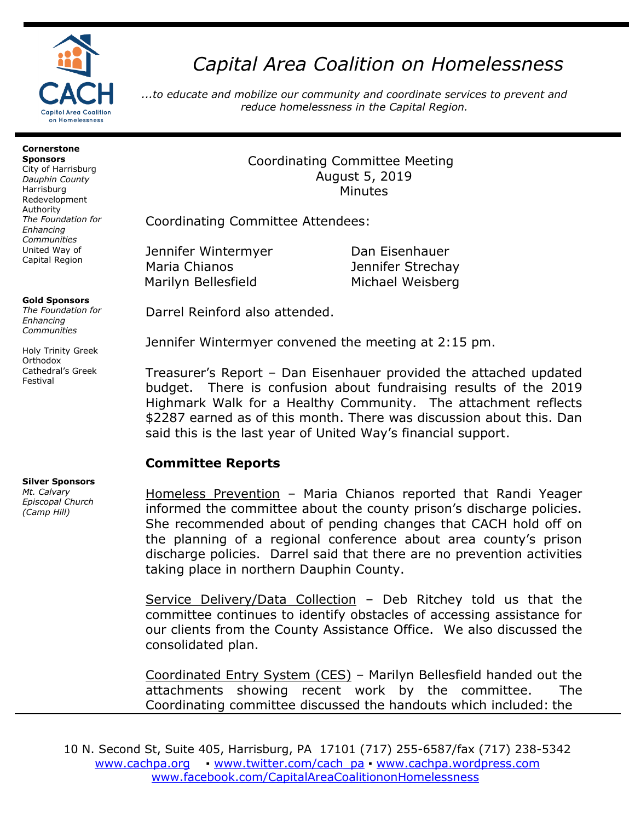

# *Capital Area Coalition on Homelessness*

*...to educate and mobilize our community and coordinate services to prevent and reduce homelessness in the Capital Region.*

#### **Cornerstone Sponsors**

City of Harrisburg *Dauphin County* Harrisburg Redevelopment Authority *The Foundation for Enhancing Communities* United Way of Capital Region

#### **Gold Sponsors**

*The Foundation for Enhancing Communities*

Holy Trinity Greek **Orthodox** Cathedral's Greek Festival

### **Silver Sponsors**

*Mt. Calvary Episcopal Church (Camp Hill)*

## Coordinating Committee Meeting August 5, 2019 Minutes

Coordinating Committee Attendees:

Jennifer Wintermyer Dan Eisenhauer Maria Chianos Jennifer Strechay Marilyn Bellesfield Michael Weisberg

Darrel Reinford also attended.

Jennifer Wintermyer convened the meeting at 2:15 pm.

Treasurer's Report – Dan Eisenhauer provided the attached updated budget. There is confusion about fundraising results of the 2019 Highmark Walk for a Healthy Community. The attachment reflects \$2287 earned as of this month. There was discussion about this. Dan said this is the last year of United Way's financial support.

# **Committee Reports**

Homeless Prevention – Maria Chianos reported that Randi Yeager informed the committee about the county prison's discharge policies. She recommended about of pending changes that CACH hold off on the planning of a regional conference about area county's prison discharge policies. Darrel said that there are no prevention activities taking place in northern Dauphin County.

Service Delivery/Data Collection – Deb Ritchey told us that the committee continues to identify obstacles of accessing assistance for our clients from the County Assistance Office. We also discussed the consolidated plan.

Coordinated Entry System (CES) – Marilyn Bellesfield handed out the attachments showing recent work by the committee. The Coordinating committee discussed the handouts which included: the

10 N. Second St, Suite 405, Harrisburg, PA 17101 (717) 255-6587/fax (717) 238-5342 [www.cachpa.org](http://www.cachpa.org/) • [www.twitter.com/cach\\_pa](http://www.twitter.com/cach_pa) • [www.cachpa.wordpress.com](http://www.cachpa.wordpress.com/) [www.facebook.com/CapitalAreaCoalitiononHomelessness](http://www.facebook.com/CapitalAreaCoalitiononHomelessness)